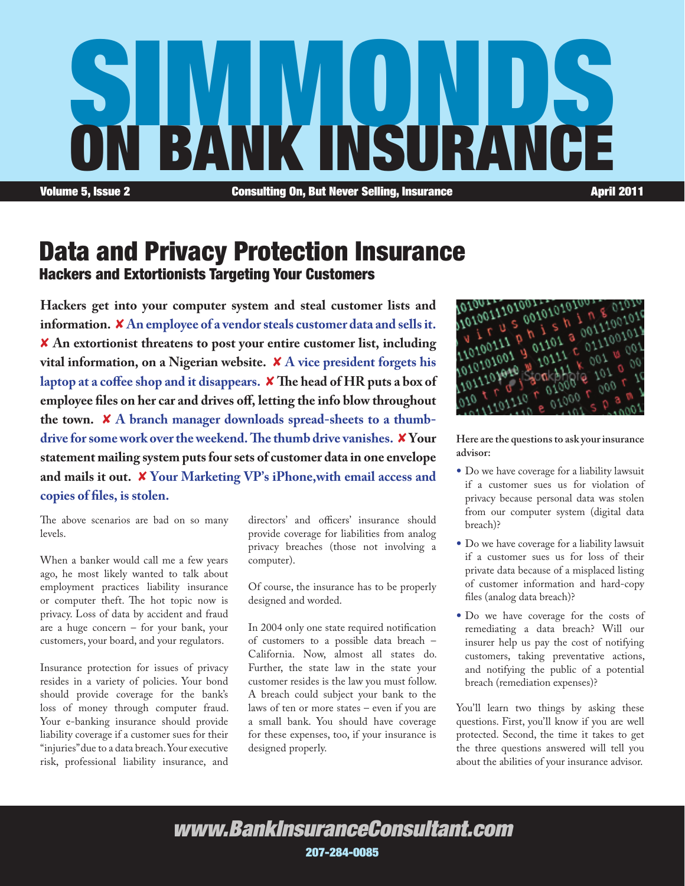

### Data and Privacy Protection Insurance Hackers and Extortionists Targeting Your Customers

**Hackers get into your computer system and steal customer lists and information.** 8 **An employee of a vendor steals customer data and sells it.**  8 **An extortionist threatens to post your entire customer list, including vital information, on a Nigerian website.** 8 **A vice president forgets his laptop at a coffee shop and it disappears.** 8 **The head of HR puts a box of employee files on her car and drives off, letting the info blow throughout the town.** 8 **A branch manager downloads spread-sheets to a thumbdrive for some work over the weekend. The thumb drive vanishes.** 8 **Your statement mailing system puts four sets of customer data in one envelope and mails it out.** 8 **Your Marketing VP's iPhone,with email access and copies of files, is stolen.**

The above scenarios are bad on so many levels.

When a banker would call me a few years ago, he most likely wanted to talk about employment practices liability insurance or computer theft. The hot topic now is privacy. Loss of data by accident and fraud are a huge concern – for your bank, your customers, your board, and your regulators.

Insurance protection for issues of privacy resides in a variety of policies. Your bond should provide coverage for the bank's loss of money through computer fraud. Your e-banking insurance should provide liability coverage if a customer sues for their "injuries" due to a data breach. Your executive risk, professional liability insurance, and

directors' and officers' insurance should provide coverage for liabilities from analog privacy breaches (those not involving a computer).

Of course, the insurance has to be properly designed and worded.

In 2004 only one state required notification of customers to a possible data breach – California. Now, almost all states do. Further, the state law in the state your customer resides is the law you must follow. A breach could subject your bank to the laws of ten or more states – even if you are a small bank. You should have coverage for these expenses, too, if your insurance is designed properly.



**Here are the questions to ask your insurance advisor:**

- Do we have coverage for a liability lawsuit if a customer sues us for violation of privacy because personal data was stolen from our computer system (digital data breach)?
- Do we have coverage for a liability lawsuit if a customer sues us for loss of their private data because of a misplaced listing of customer information and hard-copy files (analog data breach)?
- Do we have coverage for the costs of remediating a data breach? Will our insurer help us pay the cost of notifying customers, taking preventative actions, and notifying the public of a potential breach (remediation expenses)?

You'll learn two things by asking these questions. First, you'll know if you are well protected. Second, the time it takes to get the three questions answered will tell you about the abilities of your insurance advisor.

### *www.BankInsuranceConsultant.com* 207-284-0085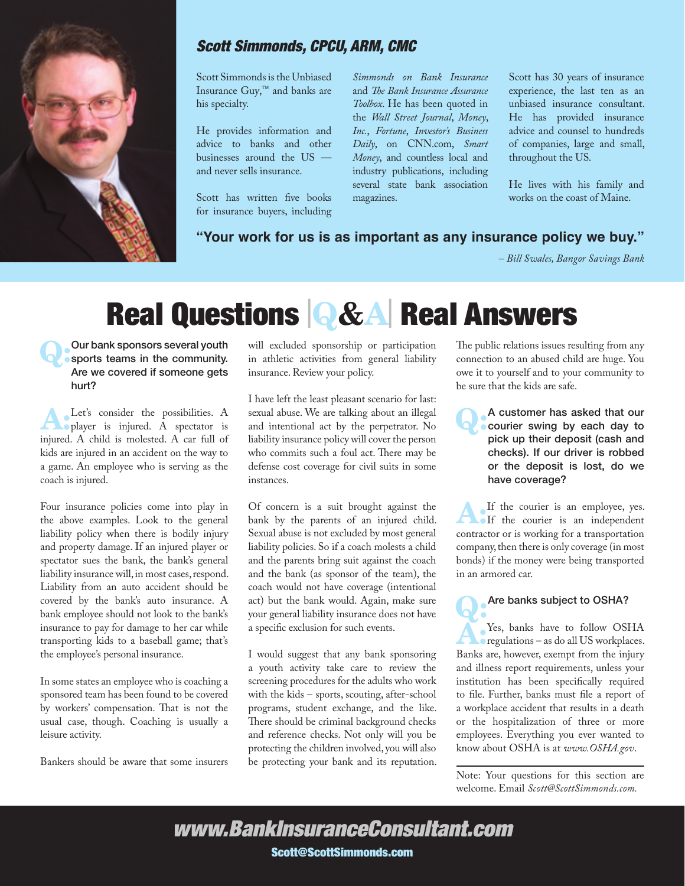

#### *Scott Simmonds, CPCU, ARM, CMC*

Scott Simmonds is the Unbiased Insurance Guy,™ and banks are his specialty.

He provides information and advice to banks and other businesses around the US and never sells insurance.

Scott has written five books for insurance buyers, including

*Simmonds on Bank Insurance* and *The Bank Insurance Assurance Toolbox*. He has been quoted in the *Wall Street Journal*, *Money*, *Inc.*, *Fortune*, *Investor's Business Daily*, on CNN.com, *Smart Money*, and countless local and industry publications, including several state bank association magazines.

Scott has 30 years of insurance experience, the last ten as an unbiased insurance consultant. He has provided insurance advice and counsel to hundreds of companies, large and small, throughout the US.

He lives with his family and works on the coast of Maine.

#### **"Your work for us is as important as any insurance policy we buy."**

*– Bill Swales, Bangor Savings Bank*

## Real Questions <sup>|</sup>Q&A<sup>|</sup> Real Answers

Q:Our bank sponsors several youth sports teams in the community. Are we covered if someone gets hurt?

A:Let's consider the possibilities. A player is injured. A spectator is injured. A child is molested. A car full of kids are injured in an accident on the way to a game. An employee who is serving as the coach is injured.

Four insurance policies come into play in the above examples. Look to the general liability policy when there is bodily injury and property damage. If an injured player or spectator sues the bank, the bank's general liability insurance will, in most cases, respond. Liability from an auto accident should be covered by the bank's auto insurance. A bank employee should not look to the bank's insurance to pay for damage to her car while transporting kids to a baseball game; that's the employee's personal insurance.

In some states an employee who is coaching a sponsored team has been found to be covered by workers' compensation. That is not the usual case, though. Coaching is usually a leisure activity.

Bankers should be aware that some insurers

will excluded sponsorship or participation in athletic activities from general liability insurance. Review your policy.

I have left the least pleasant scenario for last: sexual abuse. We are talking about an illegal and intentional act by the perpetrator. No liability insurance policy will cover the person who commits such a foul act. There may be defense cost coverage for civil suits in some instances.

Of concern is a suit brought against the bank by the parents of an injured child. Sexual abuse is not excluded by most general liability policies. So if a coach molests a child and the parents bring suit against the coach and the bank (as sponsor of the team), the coach would not have coverage (intentional act) but the bank would. Again, make sure your general liability insurance does not have a specific exclusion for such events.

I would suggest that any bank sponsoring a youth activity take care to review the screening procedures for the adults who work with the kids – sports, scouting, after-school programs, student exchange, and the like. There should be criminal background checks and reference checks. Not only will you be protecting the children involved, you will also be protecting your bank and its reputation.

The public relations issues resulting from any connection to an abused child are huge. You owe it to yourself and to your community to be sure that the kids are safe.

Q:A customer has asked that our courier swing by each day to pick up their deposit (cash and checks). If our driver is robbed or the deposit is lost, do we have coverage?

A: If the courier is an employee, yes. If the courier is an independent contractor or is working for a transportation company, then there is only coverage (in most bonds) if the money were being transported in an armored car.

# **Are banks subject to OSHA?**<br>Sext. banks have to follow OSHA

A:Yes, banks have to follow OSHA regulations – as do all US workplaces. Banks are, however, exempt from the injury and illness report requirements, unless your institution has been specifically required to file. Further, banks must file a report of a workplace accident that results in a death or the hospitalization of three or more employees. Everything you ever wanted to know about OSHA is at *www.OSHA.gov*.

Note: Your questions for this section are welcome. Email *Scott@ScottSimmonds.com.*

*www.BankInsuranceConsultant.com* Scott@ScottSimmonds.com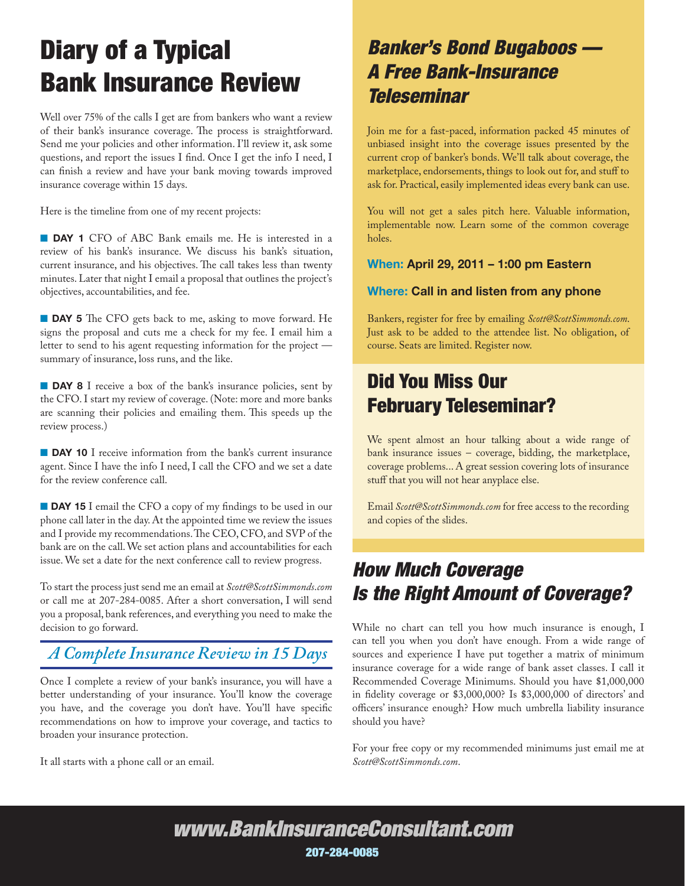## Diary of a Typical Bank Insurance Review

Well over 75% of the calls I get are from bankers who want a review of their bank's insurance coverage. The process is straightforward. Send me your policies and other information. I'll review it, ask some questions, and report the issues I find. Once I get the info I need, I can finish a review and have your bank moving towards improved insurance coverage within 15 days.

Here is the timeline from one of my recent projects:

**DAY 1** CFO of ABC Bank emails me. He is interested in a review of his bank's insurance. We discuss his bank's situation, current insurance, and his objectives. The call takes less than twenty minutes. Later that night I email a proposal that outlines the project's objectives, accountabilities, and fee.

**DAY 5** The CFO gets back to me, asking to move forward. He signs the proposal and cuts me a check for my fee. I email him a letter to send to his agent requesting information for the project summary of insurance, loss runs, and the like.

**DAY 8** I receive a box of the bank's insurance policies, sent by the CFO. I start my review of coverage. (Note: more and more banks are scanning their policies and emailing them. This speeds up the review process.)

**DAY 10** I receive information from the bank's current insurance agent. Since I have the info I need, I call the CFO and we set a date for the review conference call.

**DAY 15** I email the CFO a copy of my findings to be used in our phone call later in the day. At the appointed time we review the issues and I provide my recommendations. The CEO, CFO, and SVP of the bank are on the call. We set action plans and accountabilities for each issue. We set a date for the next conference call to review progress.

To start the process just send me an email at *Scott@ScottSimmonds*.*com* or call me at 207-284-0085. After a short conversation, I will send you a proposal, bank references, and everything you need to make the decision to go forward.

### *A Complete Insurance Review in 15 Days*

Once I complete a review of your bank's insurance, you will have a better understanding of your insurance. You'll know the coverage you have, and the coverage you don't have. You'll have specific recommendations on how to improve your coverage, and tactics to broaden your insurance protection.

It all starts with a phone call or an email.

## *Banker's Bond Bugaboos — A Free Bank-Insurance Teleseminar*

Join me for a fast-paced, information packed 45 minutes of unbiased insight into the coverage issues presented by the current crop of banker's bonds. We'll talk about coverage, the marketplace, endorsements, things to look out for, and stuff to ask for. Practical, easily implemented ideas every bank can use.

You will not get a sales pitch here. Valuable information, implementable now. Learn some of the common coverage holes.

#### When: April 29, 2011 – 1:00 pm Eastern

#### Where: Call in and listen from any phone

Bankers, register for free by emailing *Scott@ScottSimmonds.com*. Just ask to be added to the attendee list. No obligation, of course. Seats are limited. Register now.

## Did You Miss Our February Teleseminar?

We spent almost an hour talking about a wide range of bank insurance issues – coverage, bidding, the marketplace, coverage problems... A great session covering lots of insurance stuff that you will not hear anyplace else.

Email *Scott@ScottSimmonds.com* for free access to the recording and copies of the slides.

## *How Much Coverage Is the Right Amount of Coverage?*

While no chart can tell you how much insurance is enough, I can tell you when you don't have enough. From a wide range of sources and experience I have put together a matrix of minimum insurance coverage for a wide range of bank asset classes. I call it Recommended Coverage Minimums. Should you have \$1,000,000 in fidelity coverage or \$3,000,000? Is \$3,000,000 of directors' and officers' insurance enough? How much umbrella liability insurance should you have?

For your free copy or my recommended minimums just email me at *Scott@ScottSimmonds.com*.

*www.BankInsuranceConsultant.com* 207-284-0085